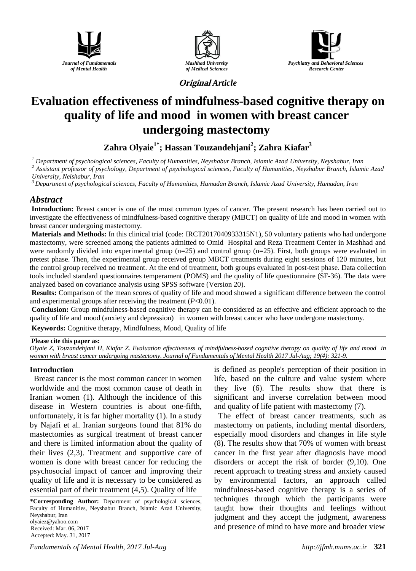





**Original** *Article*

# **Evaluation effectiveness of mindfulness-based cognitive therapy on quality of life and mood in women with breast cancer undergoing mastectomy**

**Zahra Olyaie1\* ; Hassan Touzandehjani2 ; Zahra Kiafar3**

<sup>1</sup> Department of psychological sciences, Faculty of Humanities, Neyshabur Branch, Islamic Azad University, Neyshabur, Iran<br><sup>2</sup> Assistant professor of psychology, Department of psychological sciences, Faculty of Humanitie *University, Neishabur, Iran*

*<sup>3</sup> Department of psychological sciences, Faculty of Humanities, Hamadan Branch, Islamic Azad University, Hamadan, Iran*

## *Abstract*

**Introduction:** Breast cancer is one of the most common types of cancer. The present research has been carried out to investigate the effectiveness of mindfulness-based cognitive therapy (MBCT) on quality of life and mood in women with breast cancer undergoing mastectomy.

**Materials and Methods:** In this clinical trial (code: IRCT2017040933315N1), 50 voluntary patients who had undergone mastectomy, were screened among the patients admitted to Omid Hospital and Reza Treatment Center in Mashhad and were randomly divided into experimental group (n=25) and control group (n=25). First, both groups were evaluated in pretest phase. Then, the experimental group received group MBCT treatments during eight sessions of 120 minutes, but the control group received no treatment. At the end of treatment, both groups evaluated in post-test phase. Data collection tools included standard questionnaires temperament (POMS) and the quality of life questionnaire (SF-36). The data were analyzed based on covariance analysis using SPSS software (Version 20).

**Results:** Comparison of the mean scores of quality of life and mood showed a significant difference between the control and experimental groups after receiving the treatment (*P*<0.01).

**Conclusion:** Group mindfulness-based cognitive therapy can be considered as an effective and efficient approach to the quality of life and mood (anxiety and depression) in women with breast cancer who have undergone mastectomy.

**Keywords:** Cognitive therapy, Mindfulness, Mood, Quality of life

### **Please cite this paper as:**

*Olyaie Z, Touzandehjani H, Kiafar Z. Evaluation effectiveness of mindfulness-based cognitive therapy on quality of life and mood in women with breast cancer undergoing mastectomy. Journal of Fundamentals of Mental Health 2017 Jul-Aug; 19(4): 321-9.*

## **Introduction**

Breast cancer is the most common cancer in women worldwide and the most common cause of death in Iranian women (1). Although the incidence of this disease in Western countries is about one-fifth, unfortunately, it is far higher mortality (1). In a study by Najafi et al. Iranian surgeons found that 81% do mastectomies as surgical treatment of breast cancer and there is limited information about the quality of their lives (2,3). Treatment and supportive care of women is done with breast cancer for reducing the psychosocial impact of cancer and improving their quality of life and it is necessary to be considered as essential part of their treatment (4,5). Quality of life

**\*Corresponding Author:** Department of psychological sciences, Faculty of Humanities, Neyshabur Branch, Islamic Azad University, Neyshabur, Iran olyaiez@yahoo.com Received: Mar. 06, 2017 Accepted: May. 31, 2017

is defined as people's perception of their position in life, based on the culture and value system where they live (6). The results show that there is significant and inverse correlation between mood and quality of life patient with mastectomy (7).

The effect of breast cancer treatments, such as mastectomy on patients, including mental disorders, especially mood disorders and changes in life style (8). The results show that 70% of women with breast cancer in the first year after diagnosis have mood disorders or accept the risk of border (9,10). One recent approach to treating stress and anxiety caused by environmental factors, an approach called mindfulness-based cognitive therapy is a series of techniques through which the participants were taught how their thoughts and feelings without judgment and they accept the judgment, awareness and presence of mind to have more and broader view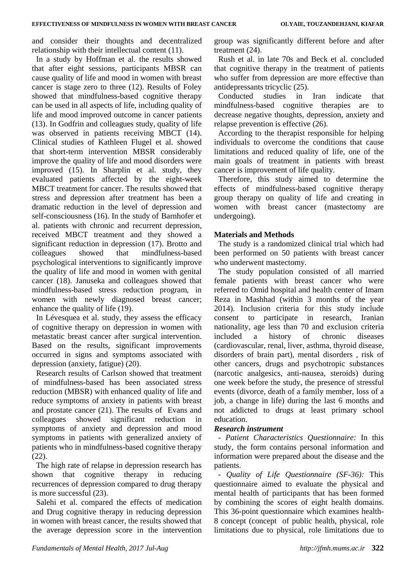and consider their thoughts and decentralized relationship with their intellectual content (11).

In a study by Hoffman et al. the results showed that after eight sessions, participants MBSR can cause quality of life and mood in women with breast cancer is stage zero to three (12). Results of Foley showed that mindfulness-based cognitive therapy can be used in all aspects of life, including quality of life and mood improved outcome in cancer patients (13). In Godfrin and colleagues study, quality of life was observed in patients receiving MBCT (14). Clinical studies of Kathleen Flugel et al. showed that short-term intervention MBSR considerably improve the quality of life and mood disorders were improved (15). In Sharplin et al. study, they evaluated patients affected by the eight-week MBCT treatment for cancer. The results showed that stress and depression after treatment has been a dramatic reduction in the level of depression and self-consciousness (16). In the study of Barnhofer et al. patients with chronic and recurrent depression, received MBCT treatment and they showed a significant reduction in depression (17). Brotto and colleagues showed that mindfulness-based psychological interventions to significantly improve the quality of life and mood in women with genital cancer (18). Januseka and colleagues showed that mindfulness-based stress reduction program, in women with newly diagnosed breast cancer; enhance the quality of life (19).

In Lévesquea et al. study, they assess the efficacy of cognitive therapy on depression in women with metastatic breast cancer after surgical intervention. Based on the results, significant improvements occurred in signs and symptoms associated with depression (anxiety, fatigue) (20).

Research results of Carlson showed that treatment of mindfulness-based has been associated stress reduction (MBSR) with enhanced quality of life and reduce symptoms of anxiety in patients with breast and prostate cancer (21). The results of Evans and colleagues showed significant reduction in symptoms of anxiety and depression and mood symptoms in patients with generalized anxiety of patients who in mindfulness-based cognitive therapy (22).

The high rate of relapse in depression research has shown that cognitive therapy in reducing recurrences of depression compared to drug therapy is more successful (23).

Salehi et al. compared the effects of medication and Drug cognitive therapy in reducing depression in women with breast cancer, the results showed that the average depression score in the intervention group was significantly different before and after treatment (24).

Rush et al. in late 70s and Beck et al. concluded that cognitive therapy in the treatment of patients who suffer from depression are more effective than antidepressants tricyclic (25).

Conducted studies in Iran indicate that mindfulness-based cognitive therapies are to decrease negative thoughts, depression, anxiety and relapse prevention is effective (26).

According to the therapist responsible for helping individuals to overcome the conditions that cause limitations and reduced quality of life, one of the main goals of treatment in patients with breast cancer is improvement of life quality.

Therefore, this study aimed to determine the effects of mindfulness-based cognitive therapy group therapy on quality of life and creating in women with breast cancer (mastectomy are undergoing).

## **Materials and Methods**

The study is a randomized clinical trial which had been performed on 50 patients with breast cancer who underwent mastectomy.

The study population consisted of all married female patients with breast cancer who were referred to Omid hospital and health center of Imam Reza in Mashhad (within 3 months of the year 2014). Inclusion criteria for this study include consent to participate in research, Iranian nationality, age less than 70 and exclusion criteria included a history of chronic diseases (cardiovascular, renal, liver, asthma, thyroid disease, disorders of brain part), mental disorders , risk of other cancers, drugs and psychotropic substances (narcotic analgesics, anti-nausea, steroids) during one week before the study, the presence of stressful events (divorce, death of a family member, loss of a job, a change in life) during the last 6 months and not addicted to drugs at least primary school education.

## *Research instrument*

*- Patient Characteristics Questionnaire:* In this study, the form contains personal information and information were prepared about the disease and the patients.

*- Quality of Life Questionnaire (SF-36):* This questionnaire aimed to evaluate the physical and mental health of participants that has been formed by combining the scores of eight health domains. This 36-point questionnaire which examines health-8 concept (concept of public health, physical, role limitations due to physical, role limitations due to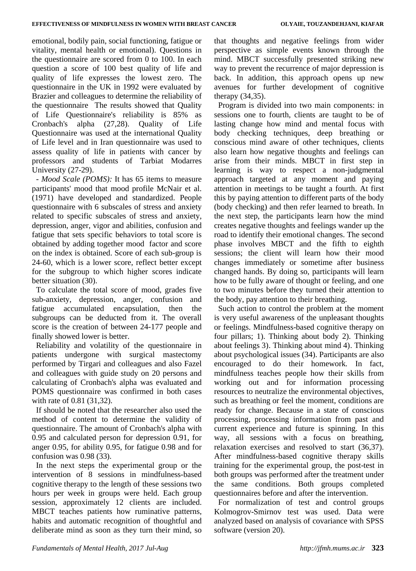emotional, bodily pain, social functioning, fatigue or vitality, mental health or emotional). Questions in the questionnaire are scored from 0 to 100. In each question a score of 100 best quality of life and quality of life expresses the lowest zero. The questionnaire in the UK in 1992 were evaluated by Brazier and colleagues to determine the reliability of the questionnaire The results showed that Quality of Life Questionnaire's reliability is 85% as Cronbach's alpha (27,28). Quality of Life Questionnaire was used at the international Quality of Life level and in Iran questionnaire was used to assess quality of life in patients with cancer by professors and students of Tarbiat Modarres University (27-29).

*- Mood Scale (POMS):* It has 65 items to measure participants' mood that mood profile McNair et al. (1971) have developed and standardized. People questionnaire with 6 subscales of stress and anxiety related to specific subscales of stress and anxiety, depression, anger, vigor and abilities, confusion and fatigue that sets specific behaviors to total score is obtained by adding together mood factor and score on the index is obtained. Score of each sub-group is 24-60, which is a lower score, reflect better except for the subgroup to which higher scores indicate better situation (30).

To calculate the total score of mood, grades five sub-anxiety, depression, anger, confusion and fatigue accumulated encapsulation, then the subgroups can be deducted from it. The overall score is the creation of between 24-177 people and finally showed lower is better.

Reliability and volatility of the questionnaire in patients undergone with surgical mastectomy performed by Tirgari and colleagues and also Fazel and colleagues with guide study on 20 persons and calculating of Cronbach's alpha was evaluated and POMS questionnaire was confirmed in both cases with rate of 0.81 (31,32).

If should be noted that the researcher also used the method of content to determine the validity of questionnaire. The amount of Cronbach's alpha with 0.95 and calculated person for depression 0.91, for anger 0.95, for ability 0.95, for fatigue 0.98 and for confusion was 0.98 (33).

In the next steps the experimental group or the intervention of 8 sessions in mindfulness-based cognitive therapy to the length of these sessions two hours per week in groups were held. Each group session, approximately 12 clients are included. MBCT teaches patients how ruminative patterns, habits and automatic recognition of thoughtful and deliberate mind as soon as they turn their mind, so

that thoughts and negative feelings from wider perspective as simple events known through the mind. MBCT successfully presented striking new way to prevent the recurrence of major depression is back. In addition, this approach opens up new avenues for further development of cognitive therapy (34,35).

Program is divided into two main components: in sessions one to fourth, clients are taught to be of lasting change how mind and mental focus with body checking techniques, deep breathing or conscious mind aware of other techniques, clients also learn how negative thoughts and feelings can arise from their minds. MBCT in first step in learning is way to respect a non-judgmental approach targeted at any moment and paying attention in meetings to be taught a fourth. At first this by paying attention to different parts of the body (body checking) and then refer learned to breath. In the next step, the participants learn how the mind creates negative thoughts and feelings wander up the road to identify their emotional changes. The second phase involves MBCT and the fifth to eighth sessions; the client will learn how their mood changes immediately or sometime after business changed hands. By doing so, participants will learn how to be fully aware of thought or feeling, and one to two minutes before they turned their attention to the body, pay attention to their breathing.

Such action to control the problem at the moment is very useful awareness of the unpleasant thoughts or feelings. Mindfulness-based cognitive therapy on four pillars; 1). Thinking about body 2). Thinking about feelings 3). Thinking about mind 4). Thinking about psychological issues (34). Participants are also encouraged to do their homework. In fact, mindfulness teaches people how their skills from working out and for information processing resources to neutralize the environmental objectives, such as breathing or feel the moment, conditions are ready for change. Because in a state of conscious processing, processing information from past and current experience and future is spinning. In this way, all sessions with a focus on breathing, relaxation exercises and resolved to start (36,37). After mindfulness-based cognitive therapy skills training for the experimental group, the post-test in both groups was performed after the treatment under the same conditions. Both groups completed questionnaires before and after the intervention.

For normalization of test and control groups Kolmogrov-Smirnov test was used. Data were analyzed based on analysis of covariance with SPSS software (version 20).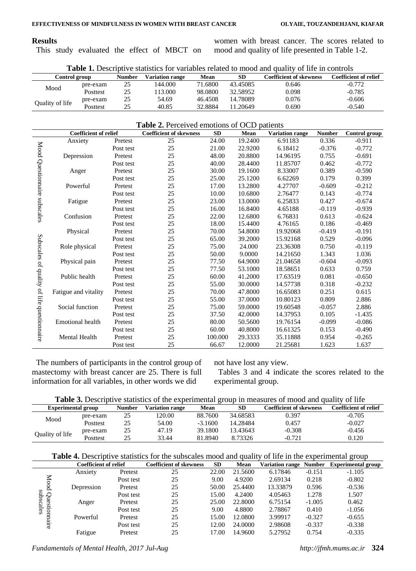## **Results**

This study evaluated the effect of MBCT on

women with breast cancer. The scores related to mood and quality of life presented in Table 1-2.

| <b>Table 1.</b> Descriptive statistics for variables related to mood and quality of life in controls |          |               |                 |         |          |                         |                              |  |
|------------------------------------------------------------------------------------------------------|----------|---------------|-----------------|---------|----------|-------------------------|------------------------------|--|
| Control group                                                                                        |          | <b>Number</b> | Variation range | Mean    | SD       | Coefficient of skewness | <b>Coefficient of relief</b> |  |
| Mood                                                                                                 | pre-exam | 25            | 144.000         | 71.6800 | 43.45085 | 0.646                   | $-0.772$                     |  |
|                                                                                                      | Posttest | 25            | 13.000          | 98.0800 | 32.58952 | 0.098                   | $-0.785$                     |  |
|                                                                                                      | pre-exam | 25            | 54.69           | 46.4508 | 14.78089 | 0.076                   | $-0.606$                     |  |
| Quality of life                                                                                      | Posttest | 25            | 40.85           | 32.8884 | 11.20649 | 0.690                   | $-0.540$                     |  |

## **Table 2.** Perceived emotions of OCD patients

|                              | <b>Coefficient of relief</b> |           | <b>Coefficient of skewness</b> | <b>SD</b> | Mean    | <b>Variation range</b> | <b>Number</b> | Control group |
|------------------------------|------------------------------|-----------|--------------------------------|-----------|---------|------------------------|---------------|---------------|
|                              | Anxiety                      | Pretest   | 25                             | 24.00     | 19.2400 | 6.91183                | 0.336         | $-0.911$      |
| Mood Questionnaire subscales |                              | Post test | 25                             | 21.00     | 22.9200 | 6.18412                | $-0.376$      | $-0.772$      |
|                              | Depression                   | Pretest   | 25                             | 48.00     | 20.8800 | 14.96195               | 0.755         | $-0.691$      |
|                              |                              | Post test | 25                             | 40.00     | 28.4400 | 11.85707               | 0.462         | $-0.772$      |
|                              | Anger                        | Pretest   | 25                             | 30.00     | 19.1600 | 8.33007                | 0.389         | $-0.590$      |
|                              |                              | Post test | 25                             | 25.00     | 25.1200 | 6.62269                | 0.179         | 0.399         |
|                              | Powerful                     | Pretest   | 25                             | 17.00     | 13.2800 | 4.27707                | $-0.609$      | $-0.212$      |
|                              |                              | Post test | 25                             | 10.00     | 10.6800 | 2.76477                | 0.143         | $-0.774$      |
|                              | Fatigue                      | Pretest   | 25                             | 23.00     | 13.0000 | 6.25833                | 0.427         | $-0.674$      |
|                              |                              | Post test | 25                             | 16.00     | 16.8400 | 4.65188                | $-0.119$      | $-0.939$      |
|                              | Confusion                    | Pretest   | 25                             | 22.00     | 12.6800 | 6.76831                | 0.613         | $-0.624$      |
|                              |                              | Post test | 25                             | 18.00     | 15.4400 | 4.76165                | 0.186         | $-0.469$      |
|                              | Physical                     | Pretest   | 25                             | 70.00     | 54.8000 | 19.92068               | $-0.419$      | $-0.191$      |
| Subscales of quality         |                              | Post test | 25                             | 65.00     | 39.2000 | 15.92168               | 0.529         | $-0.096$      |
|                              | Role physical                | Pretest   | 25                             | 75.00     | 24.000  | 23.36308               | 0.750         | $-0.119$      |
|                              |                              | Post test | 25                             | 50.00     | 9.0000  | 14.21650               | 1.343         | 1.036         |
|                              | Physical pain                | Pretest   | 25                             | 77.50     | 64.9000 | 21.04658               | $-0.604$      | $-0.093$      |
|                              |                              | Post test | 25                             | 77.50     | 53.1000 | 18.58651               | 0.633         | 0.759         |
|                              | Public health                | Pretest   | 25                             | 60.00     | 41.2000 | 17.63519               | 0.081         | $-0.650$      |
|                              |                              | Post test | 25                             | 55.00     | 30.0000 | 14.57738               | 0.318         | $-0.232$      |
|                              | Fatigue and vitality         | Pretest   | 25                             | 70.00     | 47.8000 | 16.65083               | 0.251         | 0.615         |
|                              |                              | Post test | 25                             | 55.00     | 37.0000 | 10.80123               | 0.809         | 2.886         |
|                              | Social function              | Pretest   | 25                             | 75.00     | 59.0000 | 19.60548               | $-0.057$      | 2.886         |
|                              |                              | Post test | 25                             | 37.50     | 42.0000 | 14.37953               | 0.105         | $-1.435$      |
|                              | <b>Emotional</b> health      | Pretest   | 25                             | 80.00     | 50.5600 | 19.76154               | $-0.099$      | $-0.086$      |
|                              |                              | Post test | 25                             | 60.00     | 40.8000 | 16.61325               | 0.153         | $-0.490$      |
| of life questionnaire        | Mental Health                | Pretest   | 25                             | 100.000   | 29.3333 | 35.11888               | 0.954         | $-0.265$      |
|                              |                              | Post test | 25                             | 66.67     | 12.0000 | 21.25681               | 1.623         | 1.637         |

The numbers of participants in the control group of mastectomy with breast cancer are 25. There is full information for all variables, in other words we did

not have lost any view.

Tables 3 and 4 indicate the scores related to the experimental group.

| Table 3. Descriptive statistics of the experimental group in measures of mood and quality of life |
|---------------------------------------------------------------------------------------------------|
|---------------------------------------------------------------------------------------------------|

|                           |          |               |                        | -           |          |                         |                              |
|---------------------------|----------|---------------|------------------------|-------------|----------|-------------------------|------------------------------|
| <b>Experimental group</b> |          | <b>Number</b> | <b>Variation range</b> | <b>Mean</b> | SE       | Coefficient of skewness | <b>Coefficient of relief</b> |
| Mood                      | pre-exam | 25            | 120.00                 | 88.7600     | 34.68583 | 0.397                   | $-0.705$                     |
|                           | Posttest | 25            | 54.00                  | $-3.1600$   | 14.28484 | 0.457                   | $-0.027$                     |
| Quality of life           | pre-exam | 25            | 47.19                  | 39.1800     | 13.43643 | $-0.308$                | $-0.456$                     |
|                           | Posttest | 25            | 33.44                  | 81.8940     | 8.73326  | $-0.721$                | 0.120                        |

|  |  | <b>Table 4.</b> Descriptive statistics for the subscales mood and quality of life in the experimental group |  |
|--|--|-------------------------------------------------------------------------------------------------------------|--|
|  |  |                                                                                                             |  |

|           | Coefficient of relief |           | <b>Coefficient of skewness</b> | <b>SD</b> | Mean    | <b>Variation range</b> | <b>Number</b> | <b>Experimental group</b> |
|-----------|-----------------------|-----------|--------------------------------|-----------|---------|------------------------|---------------|---------------------------|
|           | Anxiety               | Pretest   | 25                             | 22.00     | 21.5600 | 6.17846                | $-0.151$      | $-1.105$                  |
| Mood      |                       | Post test | 25                             | 9.00      | 4.9200  | 2.69134                | 0.218         | $-0.802$                  |
|           | Depression            | Pretest   | 25                             | 50.00     | 25.4400 | 13.33879               | 0.596         | $-0.536$                  |
|           |                       | Post test | 25                             | 15.00     | 4.2400  | 4.05463                | 1.278         | 1.507                     |
| Questionn | Anger                 | Pretest   | 25                             | 25.00     | 22.8000 | 6.75154                | $-1.005$      | 0.462                     |
| ηes       |                       | Post test | 25                             | 9.00      | 4.8800  | 2.78867                | 0.410         | $-1.056$                  |
|           | Powerful              | Pretest   | 25                             | 15.00     | 12.0800 | 3.99917                | $-0.327$      | $-0.655$                  |
| ane       |                       | Post test | 25                             | 12.00     | 24,0000 | 2.98608                | $-0.337$      | $-0.338$                  |
|           | Fatigue               | Pretest   | 25                             | 17.00     | 14.9600 | 5.27952                | 0.754         | $-0.335$                  |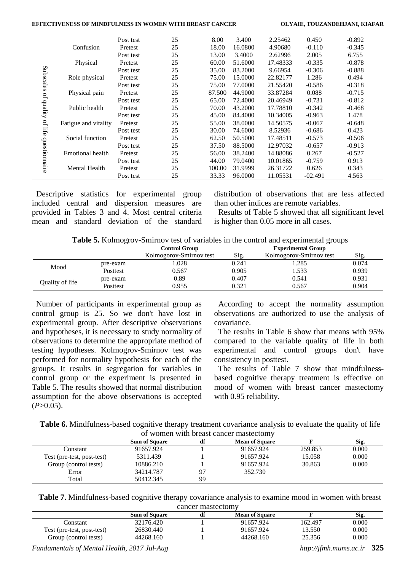#### **EFFECTIVENESS OF MINDFULNESS IN WOMEN WITH BREAST CANCER OLYAIE, TOUZANDEHJANI, KIAFAR**

|               |                      | Post test | 25 | 8.00   | 3.400   | 2.25462  | 0.450     | $-0.892$ |
|---------------|----------------------|-----------|----|--------|---------|----------|-----------|----------|
|               | Confusion            | Pretest   | 25 | 18.00  | 16.0800 | 4.90680  | $-0.110$  | $-0.345$ |
|               |                      | Post test | 25 | 13.00  | 3.4000  | 2.62996  | 2.005     | 6.755    |
|               | Physical             | Pretest   | 25 | 60.00  | 51.6000 | 17.48333 | $-0.335$  | $-0.878$ |
| Subscales     |                      | Post test | 25 | 35.00  | 83.2000 | 9.66954  | $-0.306$  | $-0.888$ |
|               | Role physical        | Pretest   | 25 | 75.00  | 15.0000 | 22.82177 | 1.286     | 0.494    |
|               |                      | Post test | 25 | 75.00  | 77.0000 | 21.55420 | $-0.586$  | $-0.318$ |
| ď             | Physical pain        | Pretest   | 25 | 87.500 | 44.9000 | 33.87284 | 0.088     | $-0.715$ |
|               |                      | Post test | 25 | 65.00  | 72.4000 | 20.46949 | $-0.731$  | $-0.812$ |
| dipality      | Public health        | Pretest   | 25 | 70.00  | 43.2000 | 17.78810 | $-0.342$  | $-0.468$ |
|               |                      | Post test | 25 | 45.00  | 84.4000 | 10.34005 | $-0.963$  | 1.478    |
| of life       | Fatigue and vitality | Pretest   | 25 | 55.00  | 38,0000 | 14.50575 | $-0.067$  | $-0.648$ |
|               |                      | Post test | 25 | 30.00  | 74.6000 | 8.52936  | $-0.686$  | 0.423    |
|               | Social function      | Pretest   | 25 | 62.50  | 50.5000 | 17.48511 | $-0.573$  | $-0.506$ |
|               |                      | Post test | 25 | 37.50  | 88.5000 | 12.97032 | $-0.657$  | $-0.913$ |
|               | Emotional health     | Pretest   | 25 | 56.00  | 38.2400 | 14.88086 | 0.267     | $-0.527$ |
|               |                      | Post test | 25 | 44.00  | 79.0400 | 10.01865 | $-0.759$  | 0.913    |
| questionnaire | <b>Mental Health</b> | Pretest   | 25 | 100.00 | 31.9999 | 26.31722 | 0.626     | 0.343    |
|               |                      | Post test | 25 | 33.33  | 96.0000 | 11.05531 | $-02.491$ | 4.563    |

Descriptive statistics for experimental group included central and dispersion measures are provided in Tables 3 and 4. Most central criteria mean and standard deviation of the standard distribution of observations that are less affected than other indices are remote variables.

Results of Table 5 showed that all significant level is higher than 0.05 more in all cases.

| Table 5. Kolmogrov-Smirnov test of variables in the control and experimental groups |  |  |
|-------------------------------------------------------------------------------------|--|--|
|                                                                                     |  |  |

|                 |                  | <b>Control Group</b>    |       | <b>Experimental Group</b> |       |
|-----------------|------------------|-------------------------|-------|---------------------------|-------|
|                 |                  | Kolmogorov-Smirnov test | Sig.  | Kolmogorov-Smirnov test   | Sig.  |
|                 | pre-exam         | .028                    | 0.241 | 1.285                     | 0.074 |
|                 | Mood<br>Posttest | 0.567                   | 0.905 | 1.533                     | 0.939 |
| Quality of life | pre-exam         | 0.89                    | 0.407 | 0.541                     | 0.931 |
|                 | <b>Posttest</b>  | 0.955                   | 0.321 | 0.567                     | 0.904 |
|                 |                  |                         |       |                           |       |

Number of participants in experimental group as control group is 25. So we don't have lost in experimental group. After descriptive observations and hypotheses, it is necessary to study normality of observations to determine the appropriate method of testing hypotheses. Kolmogrov-Smirnov test was performed for normality hypothesis for each of the groups. It results in segregation for variables in control group or the experiment is presented in Table 5. The results showed that normal distribution assumption for the above observations is accepted  $(P>0.05)$ .

According to accept the normality assumption observations are authorized to use the analysis of covariance.

The results in Table 6 show that means with 95% compared to the variable quality of life in both experimental and control groups don't have consistency in posttest.

The results of Table 7 show that mindfulnessbased cognitive therapy treatment is effective on mood of women with breast cancer mastectomy with 0.95 reliability.

| <b>Table 6.</b> Mindfulness-based cognitive therapy treatment covariance analysis to evaluate the quality of life |  |
|-------------------------------------------------------------------------------------------------------------------|--|
| of women with breast cancer mastectomy                                                                            |  |

| <u>UI WUHICH WITH DICAST CAHCEL HIASICCIUHI V</u> |                      |    |                       |         |       |  |  |  |  |
|---------------------------------------------------|----------------------|----|-----------------------|---------|-------|--|--|--|--|
|                                                   | <b>Sum of Square</b> | df | <b>Mean of Square</b> |         | Sig.  |  |  |  |  |
| Constant                                          | 91657.924            |    | 91657.924             | 259.853 | 0.000 |  |  |  |  |
| Test (pre-test, post-test)                        | 5311.439             |    | 91657.924             | 15.058  | 0.000 |  |  |  |  |
| Group (control tests)                             | 10886.210            |    | 91657.924             | 30.863  | 0.000 |  |  |  |  |
| Error                                             | 34214.787            | 97 | 352.730               |         |       |  |  |  |  |
| Total                                             | 50412.345            | 99 |                       |         |       |  |  |  |  |

**Table 7.** Mindfulness-based cognitive therapy covariance analysis to examine mood in women with breast cancer mastectomy

|                            | <b>Sum of Square</b> | df | <b>Mean of Square</b> |         | Sig.  |
|----------------------------|----------------------|----|-----------------------|---------|-------|
| ∷onstant                   | 32176.420            |    | 91657.924             | 162.497 | 0.000 |
| Test (pre-test, post-test) | 26830.440            |    | 91657.924             | 13.550  | 0.000 |
| Group (control tests)      | 44268.160            |    | 44268.160             | 25.356  | 0.000 |

*Fundamentals of Mental Health, 2017 Jul-Aug http://jfmh.mums.ac.ir* **325**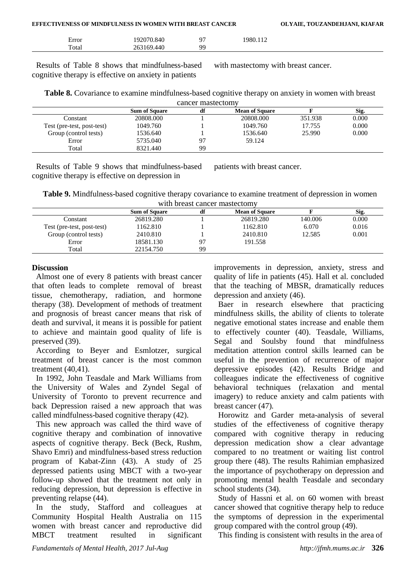| EFFECTIVENESS OF MINDFULNESS IN WOMEN WITH BREAST CANCER |            |    |          | OLYAIE, TOUZANDEHJANI, KIAFAR |
|----------------------------------------------------------|------------|----|----------|-------------------------------|
| Error                                                    | 192070.840 | Q. | 1980.112 |                               |
| Total                                                    | 263169.440 | QQ |          |                               |

Results of Table 8 shows that mindfulness-based cognitive therapy is effective on anxiety in patients

with mastectomy with breast cancer.

**Table 8.** Covariance to examine mindfulness-based cognitive therapy on anxiety in women with breast cancer mastectomy

|                            | <b>Sum of Square</b> | df | <b>Mean of Square</b> |         | Sig.  |
|----------------------------|----------------------|----|-----------------------|---------|-------|
| Constant                   | 20808.000            |    | 20808.000             | 351.938 | 0.000 |
| Test (pre-test, post-test) | 1049.760             |    | 1049.760              | 17.755  | 0.000 |
| Group (control tests)      | 1536.640             |    | 1536.640              | 25.990  | 0.000 |
| Error                      | 5735.040             | 97 | 59.124                |         |       |
| Total                      | 8321.440             | 99 |                       |         |       |

Results of Table 9 shows that mindfulness-based cognitive therapy is effective on depression in

patients with breast cancer.

**Table 9.** Mindfulness-based cognitive therapy covariance to examine treatment of depression in women with breast cancer mastectomy

|                            | <b>Sum of Square</b> | df | <b>Mean of Square</b> |         | Sig.  |
|----------------------------|----------------------|----|-----------------------|---------|-------|
| Constant                   | 26819.280            |    | 26819.280             | 140.006 | 0.000 |
| Test (pre-test, post-test) | 1162.810             |    | 1162.810              | 6.070   | 0.016 |
| Group (control tests)      | 2410.810             |    | 2410.810              | 12.585  | 0.001 |
| Error                      | 18581.130            | 97 | 191.558               |         |       |
| Total                      | 22154.750            | 99 |                       |         |       |

## **Discussion**

Almost one of every 8 patients with breast cancer that often leads to complete removal of breast tissue, chemotherapy, radiation, and hormone therapy (38). Development of methods of treatment and prognosis of breast cancer means that risk of death and survival, it means it is possible for patient to achieve and maintain good quality of life is preserved (39).

According to Beyer and Esmlotzer, surgical treatment of breast cancer is the most common treatment (40,41).

In 1992, John Teasdale and Mark Williams from the University of Wales and Zyndel Segal of University of Toronto to prevent recurrence and back Depression raised a new approach that was called mindfulness-based cognitive therapy (42).

This new approach was called the third wave of cognitive therapy and combination of innovative aspects of cognitive therapy. Beck (Beck, Rushm, Shavo Emri) and mindfulness-based stress reduction program of Kabat-Zinn (43). A study of 25 depressed patients using MBCT with a two-year follow-up showed that the treatment not only in reducing depression, but depression is effective in preventing relapse (44).

In the study, Stafford and colleagues at Community Hospital Health Australia on 115 women with breast cancer and reproductive did MBCT treatment resulted in significant

improvements in depression, anxiety, stress and quality of life in patients (45). Hall et al. concluded that the teaching of MBSR, dramatically reduces depression and anxiety (46).

Baer in research elsewhere that practicing mindfulness skills, the ability of clients to tolerate negative emotional states increase and enable them to effectively counter (40). Teasdale, Williams, Segal and Soulsby found that mindfulness meditation attention control skills learned can be useful in the prevention of recurrence of major depressive episodes (42). Results Bridge and colleagues indicate the effectiveness of cognitive behavioral techniques (relaxation and mental imagery) to reduce anxiety and calm patients with breast cancer (47).

Horowitz and Garder meta-analysis of several studies of the effectiveness of cognitive therapy compared with cognitive therapy in reducing depression medication show a clear advantage compared to no treatment or waiting list control group there (48). The results Rahimian emphasized the importance of psychotherapy on depression and promoting mental health Teasdale and secondary school students (34).

Study of Hassni et al. on 60 women with breast cancer showed that cognitive therapy help to reduce the symptoms of depression in the experimental group compared with the control group (49).

This finding is consistent with results in the area of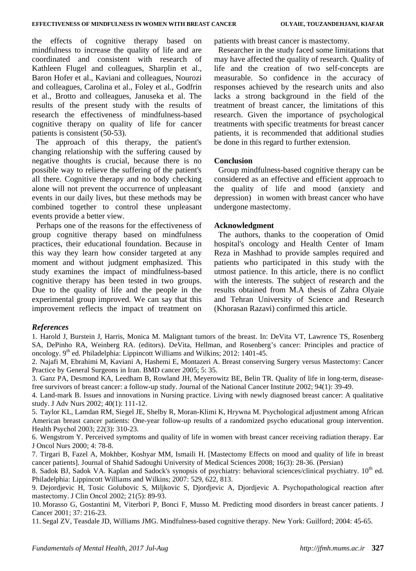the effects of cognitive therapy based on mindfulness to increase the quality of life and are coordinated and consistent with research of Kathleen Flugel and colleagues, Sharplin et al., Baron Hofer et al., Kaviani and colleagues, Nourozi and colleagues, Carolina et al., Foley et al., Godfrin et al., Brotto and colleagues, Januseka et al. The results of the present study with the results of research the effectiveness of mindfulness-based cognitive therapy on quality of life for cancer patients is consistent (50-53).

The approach of this therapy, the patient's changing relationship with the suffering caused by negative thoughts is crucial, because there is no possible way to relieve the suffering of the patient's all there. Cognitive therapy and no body checking alone will not prevent the occurrence of unpleasant events in our daily lives, but these methods may be combined together to control these unpleasant events provide a better view.

Perhaps one of the reasons for the effectiveness of group cognitive therapy based on mindfulness practices, their educational foundation. Because in this way they learn how consider targeted at any moment and without judgment emphasized. This study examines the impact of mindfulness-based cognitive therapy has been tested in two groups. Due to the quality of life and the people in the experimental group improved. We can say that this improvement reflects the impact of treatment on

patients with breast cancer is mastectomy.

Researcher in the study faced some limitations that may have affected the quality of research. Quality of life and the creation of two self-concepts are measurable. So confidence in the accuracy of responses achieved by the research units and also lacks a strong background in the field of the treatment of breast cancer, the limitations of this research. Given the importance of psychological treatments with specific treatments for breast cancer patients, it is recommended that additional studies be done in this regard to further extension.

## **Conclusion**

Group mindfulness-based cognitive therapy can be considered as an effective and efficient approach to the quality of life and mood (anxiety and depression) in women with breast cancer who have undergone mastectomy.

## **Acknowledgment**

The authors, thanks to the cooperation of Omid hospital's oncology and Health Center of Imam Reza in Mashhad to provide samples required and patients who participated in this study with the utmost patience. In this article, there is no conflict with the interests. The subject of research and the results obtained from M.A thesis of Zahra Olyaie and Tehran University of Science and Research (Khorasan Razavi) confirmed this article.

## *References*

1. Harold J, Burstein J, Harris, Monica M. Malignant tumors of the breast. In: DeVita VT, Lawrence TS, Rosenberg SA, DePinho RA, Weinberg RA. (editors). DeVita, Hellman, and Rosenberg's cancer: Principles and practice of oncology. 9<sup>th</sup> ed. Philadelphia: Lippincott Williams and Wilkins; 2012: 1401-45.

2. Najafi M, Ebrahimi M, Kaviani A, Hashemi E, Montazeri A. Breast conserving Surgery versus Mastectomy: Cancer Practice by General Surgeons in Iran. BMD cancer 2005; 5: 35.

3. Ganz PA, Desmond KA, Leedham B, Rowland JH, Meyerowitz BE, Belin TR. Quality of life in long-term, diseasefree survivors of breast cancer: a follow-up study. Journal of the National Cancer Institute 2002; 94(1): 39-49.

4. Land-mark B. Issues and innovations in Nursing practice. Living with newly diagnosed breast cancer: A qualitative study. J Adv Nurs 2002; 40(1): 111-12.

5. Taylor KL, Lamdan RM, Siegel JE, Shelby R, Moran-Klimi K, Hrywna M. Psychological adjustment among African American breast cancer patients: One-year follow-up results of a randomized psycho educational group intervention. Health Psychol 2003; 22(3): 310-23.

6. Wengstrom Y. Perceived symptoms and quality of life in women with breast cancer receiving radiation therapy. Ear J Oncol Nurs 2000; 4: 78-8.

7. Tirgari B, Fazel A, Mokhber, Koshyar MM, Ismaili H. [Mastectomy Effects on mood and quality of life in breast cancer patients]. Journal of Shahid Sadoughi University of Medical Sciences 2008; 16(3): 28-36. (Persian)

8. Sadok BJ, Sadok VA. Kaplan and Sadock's synopsis of psychiatry: behavioral sciences/clinical psychiatry. 10<sup>th</sup> ed. Philadelphia: Lippincott Williams and Wilkins; 2007: 529, 622, 813.

9. Dejordjevic H, Tosic Golubovic S, Miljkovic S, Djordjevic A, Djordjevic A. Psychopathological reaction after mastectomy. J Clin Oncol 2002; 21(5): 89-93.

10. Morasso G, Gostantini M, Viterbori P, Bonci F, Musso M. Predicting mood disorders in breast cancer patients. J Cancer 2001; 37: 216-23.

11. Segal ZV, Teasdale JD, Williams JMG. Mindfulness-based cognitive therapy. New York: Guilford; 2004: 45-65.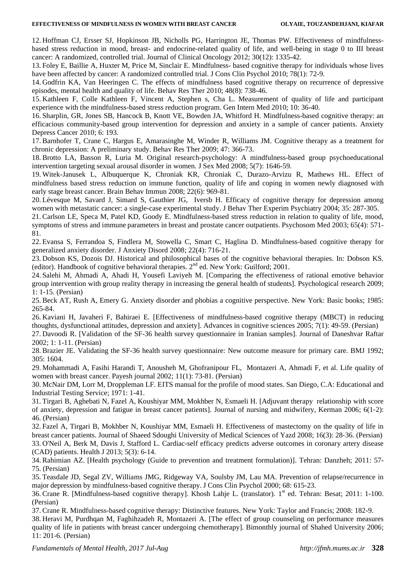#### **EFFECTIVENESS OF MINDFULNESS IN WOMEN WITH BREAST CANCER OLYAIE, TOUZANDEHJANI, KIAFAR**

12. Hoffman CJ, Ersser SJ, Hopkinson JB, Nicholls PG, Harrington JE, Thomas PW. Effectiveness of mindfulnessbased stress reduction in mood, breast- and endocrine-related quality of life, and well-being in stage 0 to III breast cancer: A randomized, controlled trial. Journal of Clinical Oncology 2012; 30(12): 1335-42.

13. Foley E, Baillie A, Huxter M, Price M, Sinclair E. Mindfulness- based cognitive therapy for individuals whose lives have been affected by cancer: A randomized controlled trial. J Cons Clin Psychol 2010: 78(1): 72-9.

14. Godfrin KA, Van Heeringen C. The effects of mindfulness based cognitive therapy on recurrence of depressive episodes, mental health and quality of life. Behav Res Ther 2010; 48(8): 738-46.

15. Kathleen F, Colle Kathleen F, Vincent A, Stephen s, Cha L. Measurement of quality of life and participant experience with the mindfulness-based stress reduction program. Gen Intern Med 2010; 10: 36-40.

16. Sharplin, GR, Jones SB, Hancock B, Knott VE, Bowden JA, Whitford H. Mindfulness-based cognitive therapy: an efficacious community-based group intervention for depression and anxiety in a sample of cancer patients. Anxiety Depress Cancer 2010; 6: 193.

17. Barnhofer T, Crane C, Hargus E, Amarasinghe M, Winder R, Williams JM. Cognitive therapy as a treatment for chronic depression: A preliminary study. Behav Res Ther 2009; 47: 366-73.

18. Brotto LA, Basson R, Luria M. Original research-psychology: A mindfulness-based group psychoeducational intervention targeting sexual arousal disorder in women. J Sex Med 2008; 5(7): 1646-59.

19. Witek-Janusek L, Albuquerque K, Chroniak KR, Chroniak C, Durazo-Arvizu R, Mathews HL. Effect of mindfulness based stress reduction on immune function, quality of life and coping in women newly diagnosed with early stage breast cancer. Brain Behav Immun 2008; 22(6): 969-81.

20. Lévesque M, Savard J, Simard S, Gauthier JG, Iversb H. Efficacy of cognitive therapy for depression among women with metastatic cancer: a single-case experimental study. J Behav Ther Experim Psychiatry 2004; 35: 287-305.

21. Carlson LE, Speca M, Patel KD, Goody E. Mindfulness-based stress reduction in relation to quality of life, mood, symptoms of stress and immune parameters in breast and prostate cancer outpatients. Psychosom Med 2003; 65(4): 571- 81.

22. Evansa S, Ferrandoa S, Findlera M, Stowella C, Smart C, Haglina D. Mindfulness-based cognitive therapy for generalized anxiety disorder. J Anxiety Disord 2008; 22(4): 716-21.

23. Dobson KS, Dozois DJ. Historical and philosophical bases of the cognitive behavioral therapies. In: Dobson KS. (editor). Handbook of cognitive behavioral therapies. 2nd ed. New York: Guilford; 2001.

24. Salehi M, Ahmadi A, Ahadi H, Yousefi Laviyeh M. [Comparing the effectiveness of rational emotive behavior group intervention with group reality therapy in increasing the general health of students]. Psychological research 2009; 1: 1-15. (Persian)

25. Beck AT, Rush A, Emery G. Anxiety disorder and phobias a cognitive perspective. New York: Basic books; 1985: 265-84.

26. Kaviani H, Javaheri F, Bahiraei E. [Effectiveness of mindfulness-based cognitive therapy (MBCT) in reducing thoughts, dysfunctional attitudes, depression and anxiety]. Advances in cognitive sciences 2005; 7(1): 49-59. (Persian)

27. Davoodi R. [Validation of the SF-36 health survey questionnaire in Iranian samples]. Journal of Daneshvar Raftar 2002; 1: 1-11. (Persian)

28. Brazier JE. Validating the SF-36 health survey questionnaire: New outcome measure for primary care. BMJ 1992; 305: 1604.

29. Mohammadi A, Fasihi Harandi T, Anousheh M, Ghofranipour FL, Montazeri A, Ahmadi F, et al. Life quality of women with breast cancer. Payesh journal 2002; 11(1): 73-81. (Persian)

30. McNair DM, Lorr M, Droppleman LF. EITS manual for the profile of mood states. San Diego, C.A: Educational and Industrial Testing Service; 1971: 1-41.

31. Tirgari B, Aghebati N, Fazel A, Koushiyar MM, Mokhber N, Esmaeli H. [Adjuvant therapy relationship with score of anxiety, depression and fatigue in breast cancer patients]. Journal of nursing and midwifery, Kerman 2006; 6(1‐2): 46. (Persian)

32. Fazel A, Tirgari B, Mokhber N, Koushiyar MM, Esmaeli H. Effectiveness of mastectomy on the quality of life in breast cancer patients. Journal of Shaeed Sdoughi University of Medical Sciences of Yazd 2008; 16(3): 28‐36. (Persian) 33. O'Neil A, Berk M, Davis J, Stafford L. Cardiac-self efficacy predicts adverse outcomes in coronary artery disease (CAD) patients. Health J 2013; 5(3): 6-14.

34. Rahimian AZ. [Health psychology (Guide to prevention and treatment formulation)]. Tehran: Danzheh; 2011: 57- 75. (Persian)

35. Teasdale JD, Segal ZV, Williams JMG, Ridgeway VA, Soulsby JM, Lau MA. Prevention of relapse/recurrence in major depression by mindfulness-based cognitive therapy. J Cons Clin Psychol 2000; 68: 615-23.

36. Crane R. [Mindfulness-based cognitive therapy]. Khosh Lahje L. (translator). 1st ed. Tehran: Besat; 2011: 1-100. (Persian)

37. Crane R. Mindfulness-based cognitive therapy: Distinctive features. New York: Taylor and Francis; 2008: 182-9.

38. Heravi M, Purdhqan M, Faghihzadeh R, Montazeri A. [The effect of group counseling on performance measures quality of life in patients with breast cancer undergoing chemotherapy]. Bimonthly journal of Shahed University 2006; 11: 201-6. (Persian)